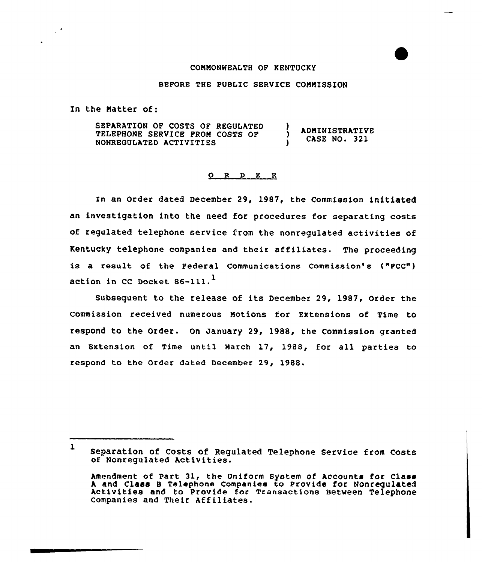## CONNONWEALTH OF KENTUCKY

## BEFORE THE PUBLIC SERVICE COMNISSION

In the Natter of:

 $\mathcal{L}^{\bullet}$ 

SEPARATION OF COSTS OF REGULATED ) ADNINISTRATIVE TELEPHONE SERVICE PRON COSTS OF CASE NO. 321 NONREGULATED ACTIVITIES <sup>1</sup>

## 0 <sup>R</sup> <sup>D</sup> E <sup>R</sup>

In an Order dated December 29, 1987, the Commission initiated an investigation into the need for procedures for separating costs of regulated telephone service from the nonregulated activities of Kentucky telephone companies and their affiliates. The proceeding is a result of the Federal Communications Commission's ("FCC") action in CC Docket 86-111.<sup>1</sup>

Subsequent to the release of its December 29, 1987, Order the commission received numerous Notions for Extensions of Time to respond to the Order. On January 29, 1988, the Commission granted an Extension of Time until Narch 17, 1988, for all parties to respond to the Order dated December 29, 1988.

<sup>1</sup> Separation of Costs of Regulated Telephone Service from Costs of Nonregulated Activities.

Amendment of Part 31, the Uniform System of Accounts for Class<br>A and Class B Telephone Companies to Provide for Nonrequlated Activities and to Provide for Transactions Between Telephone companies and Their Affiliates.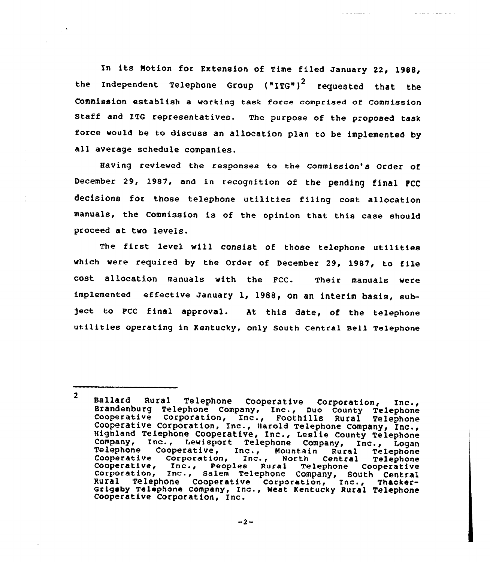In its Notion for Extension of Time filed January 22, 1988, the Independent Telephone Group ("ITG")<sup>2</sup> requested that the Commission establish a working task force comprised of commission Staff and ITG representatives. The purpose of the proposed task force would be to discuss an allocation plan to be implemented by all average schedule companies.

Having reviewed the responses to the commission's Order of December 29, 1987, and in recognition of the pending final FCC decisions for those telephone utilities filing cost allocation manuals, the Commission is of the opinion that this case should proceed at two levels.

The first level will consist of those telephone utilities which were required by the Order of December 29, 1987, to file cost allocation manuals with the FCC. Their manuals were implemented effective January 1, 1988, on an interim basis, sub- )ect to FCC final approval. At this date, of the telephone utilities operating in Kentucky, only South Central sell Telephone

<sup>2</sup> Ballard Rural Telephone Cooperative Corporation, Inc., Brandenburg Telephone Company, Inc., Duo County Telephone Cooperative Corporation, Inc., Foothills Rural Telephone Cooperative Corporation, Inc., Harold Telephone Co Telephone Cooperative, Inc., Mountain Rural Telephone<br>Cooperative, Inc., Peoples Rural Telephone Cooperative, Inc., Peoples Rural Telephone Cooperative<br>Corporation, Inc., Salem Telephone Company, South Central<br>Rural Teleph Grigsby Telephone Company, Inc., Nest Kentucky Rural Telephone Cooperative Corporation, Inc.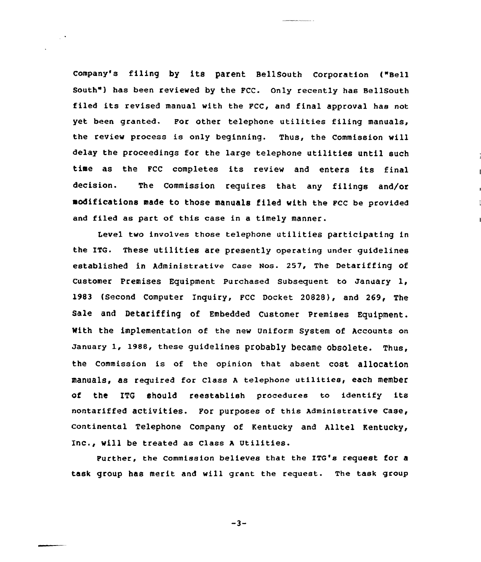Company's filing by its parent BellSouth Corporation l"sell South") has been reviewed by the FCC. Only recently has BellSouth filed its revised manual with the FCC, and final approval has not yet been granted. For other telephone utilities filing manuals, the review process is only beginning. Thus, the Commission will delay the proceedings for the large telephone utilities until such time as the FCC completes its review and enters its final decision. The Commission requires that any filings and/or modifications made to those manuals filed with the Fcc be provided and filed as part of this case in a timely manner.

 $\sim$   $^{\circ}$ 

Level two involves those telephone utilities participating in the ITG. These utilities are presently operating under guidelines established in Administrative case Nos. 257, The Detariffing of Customer Premises Equipment Purchased Subsequent to January I, l983 (Second Computer Inquiry, FCC Docket 20828), and 269< The Sale and Detariffing of Embedded Customer Premises Equipment. With the implementation of the new Uniform System of Accounts on January 1, l988, these guidelines probably became obsolete. Thus, the commission is of the opinion that absent cost allocation manuals, as required for class <sup>A</sup> telephone utilities, each member of the ITG should reestablish procedures to identify its nontariffed activities. For purposes of this Administrative case, continental Telephone Company of Kentucky and Alltel Kentucky, Inc., will be treated as class <sup>A</sup> Utilities.

Further, the commission believes that the ITG's request for a task group has merit and will grant the request. The task group

 $-3-$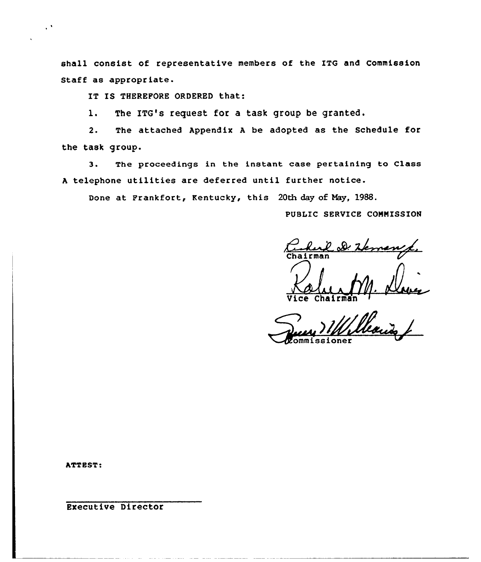shall consist of representative members of the ITG and Commission Staff as appropriate.

IT IS THEREFORE ORDERED that:

1. The ITG's request for a task group be granted.

2. The attached Appendix <sup>A</sup> be adopted as the Schedule for the task group.

3. The proceedings in the instant case pertaining to Class <sup>A</sup> telephone utilities are deferred until further notice.

Done at Frankfort, Kentucky, this 20th day of Nay, 1988.

PUBLIC SERVICE COMNISSION

Chairman

Chair

ommissioner

ATTEST.

 $\ddot{\phantom{a}}$ 

Executive Director